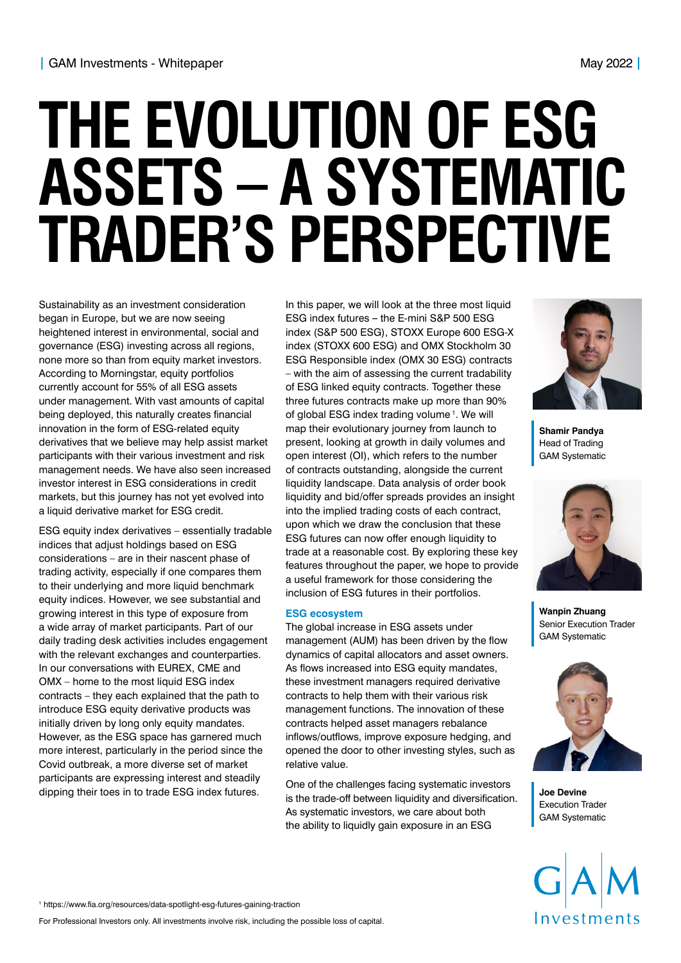# **THE EVOLUTION OF ESG ASSETS – A SYSTEMATIC TRADER'S PERSPECTIVE**

Sustainability as an investment consideration began in Europe, but we are now seeing heightened interest in environmental, social and governance (ESG) investing across all regions, none more so than from equity market investors. According to Morningstar, equity portfolios currently account for 55% of all ESG assets under management. With vast amounts of capital being deployed, this naturally creates financial innovation in the form of ESG-related equity derivatives that we believe may help assist market participants with their various investment and risk management needs. We have also seen increased investor interest in ESG considerations in credit markets, but this journey has not yet evolved into a liquid derivative market for ESG credit.

ESG equity index derivatives – essentially tradable indices that adjust holdings based on ESG considerations – are in their nascent phase of trading activity, especially if one compares them to their underlying and more liquid benchmark equity indices. However, we see substantial and growing interest in this type of exposure from a wide array of market participants. Part of our daily trading desk activities includes engagement with the relevant exchanges and counterparties. In our conversations with EUREX, CME and OMX – home to the most liquid ESG index contracts – they each explained that the path to introduce ESG equity derivative products was initially driven by long only equity mandates. However, as the ESG space has garnered much more interest, particularly in the period since the Covid outbreak, a more diverse set of market participants are expressing interest and steadily dipping their toes in to trade ESG index futures.

In this paper, we will look at the three most liquid ESG index futures **–** the E-mini S&P 500 ESG index (S&P 500 ESG), STOXX Europe 600 ESG-X index (STOXX 600 ESG) and OMX Stockholm 30 ESG Responsible index (OMX 30 ESG) contracts – with the aim of assessing the current tradability of ESG linked equity contracts. Together these three futures contracts make up more than 90% of global ESG index trading volume<sup>1</sup>. We will map their evolutionary journey from launch to present, looking at growth in daily volumes and open interest (OI), which refers to the number of contracts outstanding, alongside the current liquidity landscape. Data analysis of order book liquidity and bid/offer spreads provides an insight into the implied trading costs of each contract, upon which we draw the conclusion that these ESG futures can now offer enough liquidity to trade at a reasonable cost. By exploring these key features throughout the paper, we hope to provide a useful framework for those considering the inclusion of ESG futures in their portfolios.

#### **ESG ecosystem**

The global increase in ESG assets under management (AUM) has been driven by the flow dynamics of capital allocators and asset owners. As flows increased into ESG equity mandates, these investment managers required derivative contracts to help them with their various risk management functions. The innovation of these contracts helped asset managers rebalance inflows/outflows, improve exposure hedging, and opened the door to other investing styles, such as relative value.

One of the challenges facing systematic investors is the trade-off between liquidity and diversification. As systematic investors, we care about both the ability to liquidly gain exposure in an ESG



**Shamir Pandya**  Head of Trading GAM Systematic



**Wanpin Zhuang**  Senior Execution Trader GAM Systematic



**Joe Devine**  Execution Trader GAM Systematic

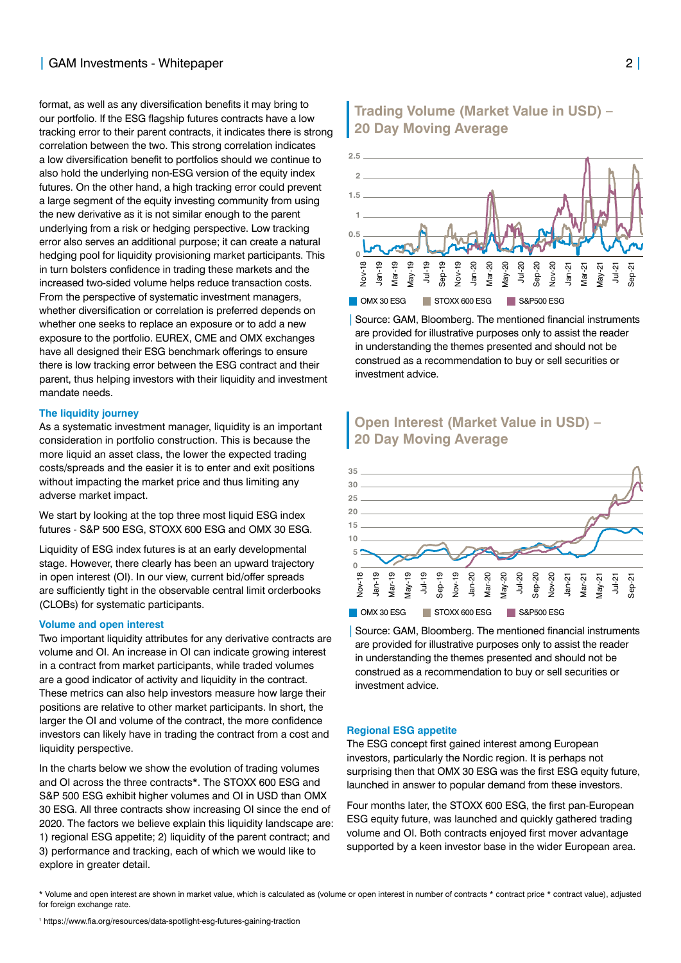## **|** GAM Investments - Whitepaper 2 **|**

format, as well as any diversification benefits it may bring to our portfolio. If the ESG flagship futures contracts have a low tracking error to their parent contracts, it indicates there is strong correlation between the two. This strong correlation indicates a low diversification benefit to portfolios should we continue to also hold the underlying non-ESG version of the equity index futures. On the other hand, a high tracking error could prevent a large segment of the equity investing community from using the new derivative as it is not similar enough to the parent underlying from a risk or hedging perspective. Low tracking error also serves an additional purpose; it can create a natural hedging pool for liquidity provisioning market participants. This in turn bolsters confidence in trading these markets and the increased two-sided volume helps reduce transaction costs. From the perspective of systematic investment managers, whether diversification or correlation is preferred depends on whether one seeks to replace an exposure or to add a new exposure to the portfolio. EUREX, CME and OMX exchanges have all designed their ESG benchmark offerings to ensure there is low tracking error between the ESG contract and their parent, thus helping investors with their liquidity and investment mandate needs.

#### **The liquidity journey**

As a systematic investment manager, liquidity is an important consideration in portfolio construction. This is because the more liquid an asset class, the lower the expected trading costs/spreads and the easier it is to enter and exit positions without impacting the market price and thus limiting any adverse market impact.

We start by looking at the top three most liquid ESG index futures - S&P 500 ESG, STOXX 600 ESG and OMX 30 ESG.

Liquidity of ESG index futures is at an early developmental stage. However, there clearly has been an upward trajectory in open interest (OI). In our view, current bid/offer spreads are sufficiently tight in the observable central limit orderbooks (CLOBs) for systematic participants.

#### **Volume and open interest**

Two important liquidity attributes for any derivative contracts are volume and OI. An increase in OI can indicate growing interest in a contract from market participants, while traded volumes are a good indicator of activity and liquidity in the contract. These metrics can also help investors measure how large their positions are relative to other market participants. In short, the larger the OI and volume of the contract, the more confidence investors can likely have in trading the contract from a cost and liquidity perspective.

In the charts below we show the evolution of trading volumes and OI across the three contracts\*. The STOXX 600 ESG and S&P 500 ESG exhibit higher volumes and OI in USD than OMX 30 ESG. All three contracts show increasing OI since the end of 2020. The factors we believe explain this liquidity landscape are: 1) regional ESG appetite; 2) liquidity of the parent contract; and 3) performance and tracking, each of which we would like to explore in greater detail.

## **Trading Volume (Market Value in USD) – 20 Day Moving Average**



| Source: GAM, Bloomberg. The mentioned financial instruments are provided for illustrative purposes only to assist the reader in understanding the themes presented and should not be construed as a recommendation to buy or sell securities or investment advice.

# **Open Interest (Market Value in USD) – 20 Day Moving Average**



| Source: GAM, Bloomberg. The mentioned financial instruments are provided for illustrative purposes only to assist the reader in understanding the themes presented and should not be construed as a recommendation to buy or sell securities or investment advice.

#### **Regional ESG appetite**

The ESG concept first gained interest among European investors, particularly the Nordic region. It is perhaps not surprising then that OMX 30 ESG was the first ESG equity future, launched in answer to popular demand from these investors.

Four months later, the STOXX 600 ESG, the first pan-European ESG equity future, was launched and quickly gathered trading volume and OI. Both contracts enjoyed first mover advantage supported by a keen investor base in the wider European area.

<sup>\*</sup> Volume and open interest are shown in market value, which is calculated as (volume or open interest in number of contracts \* contract price \* contract value), adjusted for foreign exchange rate.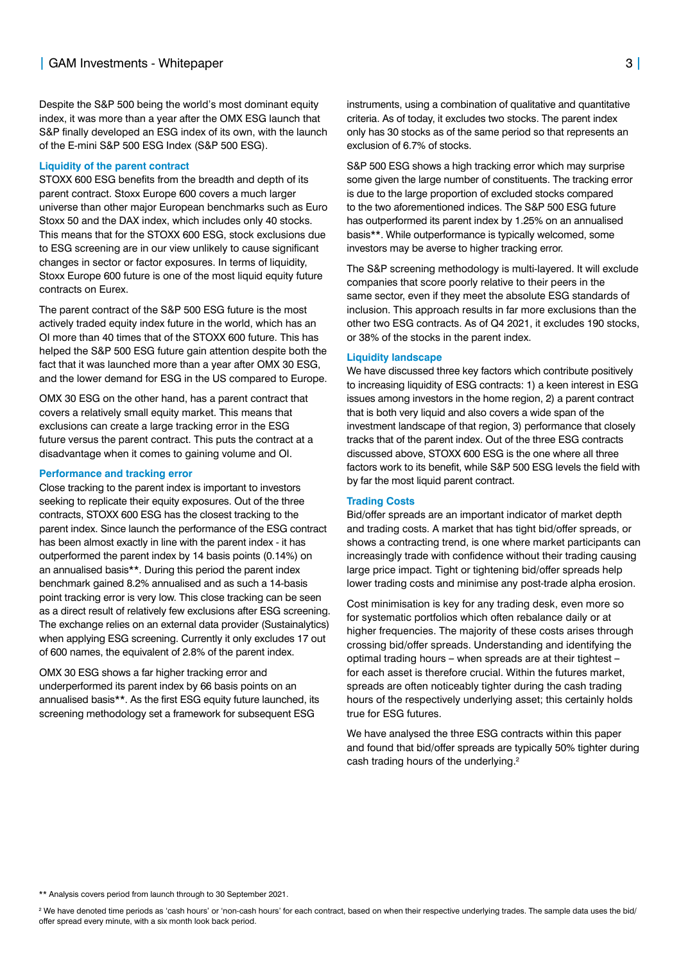Despite the S&P 500 being the world's most dominant equity index, it was more than a year after the OMX ESG launch that S&P finally developed an ESG index of its own, with the launch of the E-mini S&P 500 ESG Index (S&P 500 ESG).

#### **Liquidity of the parent contract**

STOXX 600 ESG benefits from the breadth and depth of its parent contract. Stoxx Europe 600 covers a much larger universe than other major European benchmarks such as Euro Stoxx 50 and the DAX index, which includes only 40 stocks. This means that for the STOXX 600 ESG, stock exclusions due to ESG screening are in our view unlikely to cause significant changes in sector or factor exposures. In terms of liquidity, Stoxx Europe 600 future is one of the most liquid equity future contracts on Eurex.

The parent contract of the S&P 500 ESG future is the most actively traded equity index future in the world, which has an OI more than 40 times that of the STOXX 600 future. This has helped the S&P 500 ESG future gain attention despite both the fact that it was launched more than a year after OMX 30 ESG, and the lower demand for ESG in the US compared to Europe.

OMX 30 ESG on the other hand, has a parent contract that covers a relatively small equity market. This means that exclusions can create a large tracking error in the ESG future versus the parent contract. This puts the contract at a disadvantage when it comes to gaining volume and OI.

#### **Performance and tracking error**

Close tracking to the parent index is important to investors seeking to replicate their equity exposures. Out of the three contracts, STOXX 600 ESG has the closest tracking to the parent index. Since launch the performance of the ESG contract has been almost exactly in line with the parent index - it has outperformed the parent index by 14 basis points (0.14%) on an annualised basis\*\*. During this period the parent index benchmark gained 8.2% annualised and as such a 14-basis point tracking error is very low. This close tracking can be seen as a direct result of relatively few exclusions after ESG screening. The exchange relies on an external data provider (Sustainalytics) when applying ESG screening. Currently it only excludes 17 out of 600 names, the equivalent of 2.8% of the parent index.

OMX 30 ESG shows a far higher tracking error and underperformed its parent index by 66 basis points on an annualised basis\*\*. As the first ESG equity future launched, its screening methodology set a framework for subsequent ESG

instruments, using a combination of qualitative and quantitative criteria. As of today, it excludes two stocks. The parent index only has 30 stocks as of the same period so that represents an exclusion of 6.7% of stocks.

S&P 500 ESG shows a high tracking error which may surprise some given the large number of constituents. The tracking error is due to the large proportion of excluded stocks compared to the two aforementioned indices. The S&P 500 ESG future has outperformed its parent index by 1.25% on an annualised basis\*\*. While outperformance is typically welcomed, some investors may be averse to higher tracking error.

The S&P screening methodology is multi-layered. It will exclude companies that score poorly relative to their peers in the same sector, even if they meet the absolute ESG standards of inclusion. This approach results in far more exclusions than the other two ESG contracts. As of Q4 2021, it excludes 190 stocks, or 38% of the stocks in the parent index.

#### **Liquidity landscape**

We have discussed three key factors which contribute positively to increasing liquidity of ESG contracts: 1) a keen interest in ESG issues among investors in the home region, 2) a parent contract that is both very liquid and also covers a wide span of the investment landscape of that region, 3) performance that closely tracks that of the parent index. Out of the three ESG contracts discussed above, STOXX 600 ESG is the one where all three factors work to its benefit, while S&P 500 ESG levels the field with by far the most liquid parent contract.

#### **Trading Costs**

Bid/offer spreads are an important indicator of market depth and trading costs. A market that has tight bid/offer spreads, or shows a contracting trend, is one where market participants can increasingly trade with confidence without their trading causing large price impact. Tight or tightening bid/offer spreads help lower trading costs and minimise any post-trade alpha erosion.

Cost minimisation is key for any trading desk, even more so for systematic portfolios which often rebalance daily or at higher frequencies. The majority of these costs arises through crossing bid/offer spreads. Understanding and identifying the optimal trading hours **–** when spreads are at their tightest **–** for each asset is therefore crucial. Within the futures market, spreads are often noticeably tighter during the cash trading hours of the respectively underlying asset; this certainly holds true for ESG futures.

We have analysed the three ESG contracts within this paper and found that bid/offer spreads are typically 50% tighter during cash trading hours of the underlying.<sup>2</sup>

\*\* Analysis covers period from launch through to 30 September 2021.

2 We have denoted time periods as 'cash hours' or 'non-cash hours' for each contract, based on when their respective underlying trades. The sample data uses the bid/ offer spread every minute, with a six month look back period.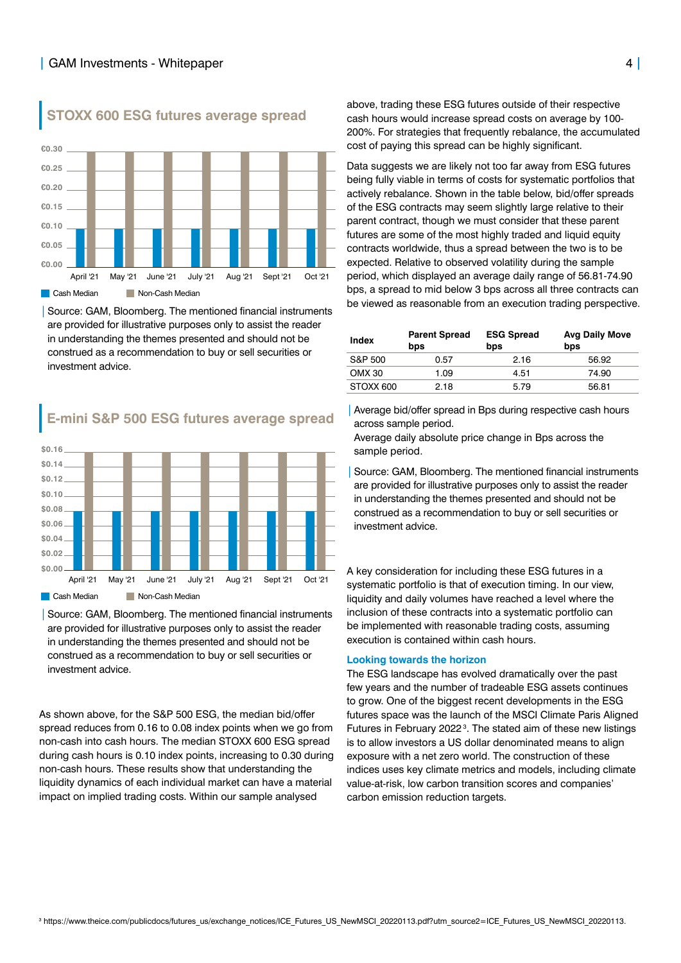

**STOXX 600 ESG futures average spread**

|Source: GAM, Bloomberg. The mentioned financial instruments are provided for illustrative purposes only to assist the reader in understanding the themes presented and should not be construed as a recommendation to buy or sell securities or investment advice.

# **E-mini S&P 500 ESG futures average spread**



|Source: GAM, Bloomberg. The mentioned financial instruments are provided for illustrative purposes only to assist the reader in understanding the themes presented and should not be construed as a recommendation to buy or sell securities or investment advice.

As shown above, for the S&P 500 ESG, the median bid/offer spread reduces from 0.16 to 0.08 index points when we go from non-cash into cash hours. The median STOXX 600 ESG spread during cash hours is 0.10 index points, increasing to 0.30 during non-cash hours. These results show that understanding the liquidity dynamics of each individual market can have a material impact on implied trading costs. Within our sample analysed

above, trading these ESG futures outside of their respective cash hours would increase spread costs on average by 100- 200%. For strategies that frequently rebalance, the accumulated cost of paying this spread can be highly significant.

Data suggests we are likely not too far away from ESG futures being fully viable in terms of costs for systematic portfolios that actively rebalance. Shown in the table below, bid/offer spreads of the ESG contracts may seem slightly large relative to their parent contract, though we must consider that these parent futures are some of the most highly traded and liquid equity contracts worldwide, thus a spread between the two is to be expected. Relative to observed volatility during the sample period, which displayed an average daily range of 56.81-74.90 bps, a spread to mid below 3 bps across all three contracts can be viewed as reasonable from an execution trading perspective.

| <b>Index</b> | <b>Parent Spread</b><br>bps | <b>ESG Spread</b><br>bps | <b>Avg Daily Move</b><br>bps |
|--------------|-----------------------------|--------------------------|------------------------------|
| S&P 500      | 0.57                        | 2.16                     | 56.92                        |
| OMX 30       | 1.09                        | 4.51                     | 74.90                        |
| STOXX 600    | 2.18                        | 5.79                     | 56.81                        |
|              |                             |                          |                              |

Average bid/offer spread in Bps during respective cash hours across sample period.

Average daily absolute price change in Bps across the sample period.

Source: GAM, Bloomberg. The mentioned financial instruments are provided for illustrative purposes only to assist the reader in understanding the themes presented and should not be construed as a recommendation to buy or sell securities or investment advice.

A key consideration for including these ESG futures in a systematic portfolio is that of execution timing. In our view, liquidity and daily volumes have reached a level where the inclusion of these contracts into a systematic portfolio can be implemented with reasonable trading costs, assuming execution is contained within cash hours.

#### **Looking towards the horizon**

The ESG landscape has evolved dramatically over the past few years and the number of tradeable ESG assets continues to grow. One of the biggest recent developments in the ESG futures space was the launch of the MSCI Climate Paris Aligned Futures in February 2022<sup>3</sup>. The stated aim of these new listings is to allow investors a US dollar denominated means to align exposure with a net zero world. The construction of these indices uses key climate metrics and models, including climate value-at-risk, low carbon transition scores and companies' carbon emission reduction targets.